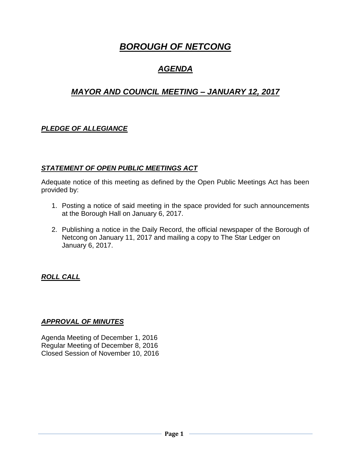# *BOROUGH OF NETCONG*

## *AGENDA*

## *MAYOR AND COUNCIL MEETING – JANUARY 12, 2017*

## *PLEDGE OF ALLEGIANCE*

## *STATEMENT OF OPEN PUBLIC MEETINGS ACT*

Adequate notice of this meeting as defined by the Open Public Meetings Act has been provided by:

- 1. Posting a notice of said meeting in the space provided for such announcements at the Borough Hall on January 6, 2017.
- 2. Publishing a notice in the Daily Record, the official newspaper of the Borough of Netcong on January 11, 2017 and mailing a copy to The Star Ledger on January 6, 2017.

## *ROLL CALL*

## *APPROVAL OF MINUTES*

Agenda Meeting of December 1, 2016 Regular Meeting of December 8, 2016 Closed Session of November 10, 2016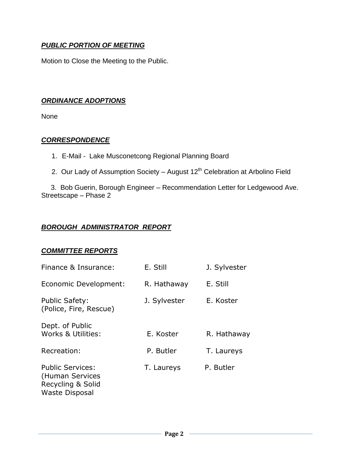## *PUBLIC PORTION OF MEETING*

Motion to Close the Meeting to the Public.

## *ORDINANCE ADOPTIONS*

None

### *CORRESPONDENCE*

- 1. E-Mail Lake Musconetcong Regional Planning Board
- 2. Our Lady of Assumption Society August  $12<sup>th</sup>$  Celebration at Arbolino Field

 3. Bob Guerin, Borough Engineer – Recommendation Letter for Ledgewood Ave. Streetscape – Phase 2

## *BOROUGH ADMINISTRATOR REPORT*

#### *COMMITTEE REPORTS*

| Finance & Insurance:                                                                     | E. Still     | J. Sylvester |
|------------------------------------------------------------------------------------------|--------------|--------------|
| Economic Development:                                                                    | R. Hathaway  | E. Still     |
| <b>Public Safety:</b><br>(Police, Fire, Rescue)                                          | J. Sylvester | E. Koster    |
| Dept. of Public<br>Works & Utilities:                                                    | E. Koster    | R. Hathaway  |
| Recreation:                                                                              | P. Butler    | T. Laureys   |
| <b>Public Services:</b><br>(Human Services<br>Recycling & Solid<br><b>Waste Disposal</b> | T. Laureys   | P. Butler    |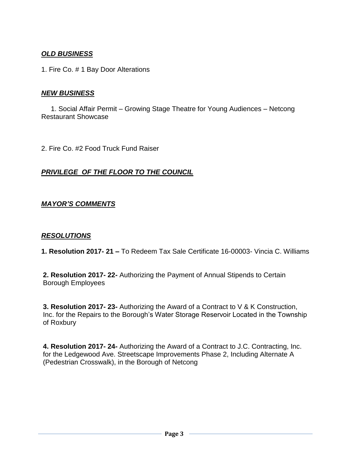## *OLD BUSINESS*

1. Fire Co. # 1 Bay Door Alterations

### *NEW BUSINESS*

 1. Social Affair Permit – Growing Stage Theatre for Young Audiences – Netcong Restaurant Showcase

2. Fire Co. #2 Food Truck Fund Raiser

## *PRIVILEGE OF THE FLOOR TO THE COUNCIL*

### *MAYOR'S COMMENTS*

#### *RESOLUTIONS*

**1. Resolution 2017- 21 –** To Redeem Tax Sale Certificate 16-00003- Vincia C. Williams

**2. Resolution 2017- 22-** Authorizing the Payment of Annual Stipends to Certain Borough Employees

**3. Resolution 2017- 23-** Authorizing the Award of a Contract to V & K Construction, Inc. for the Repairs to the Borough's Water Storage Reservoir Located in the Township of Roxbury

**4. Resolution 2017- 24-** Authorizing the Award of a Contract to J.C. Contracting, Inc. for the Ledgewood Ave. Streetscape Improvements Phase 2, Including Alternate A (Pedestrian Crosswalk), in the Borough of Netcong